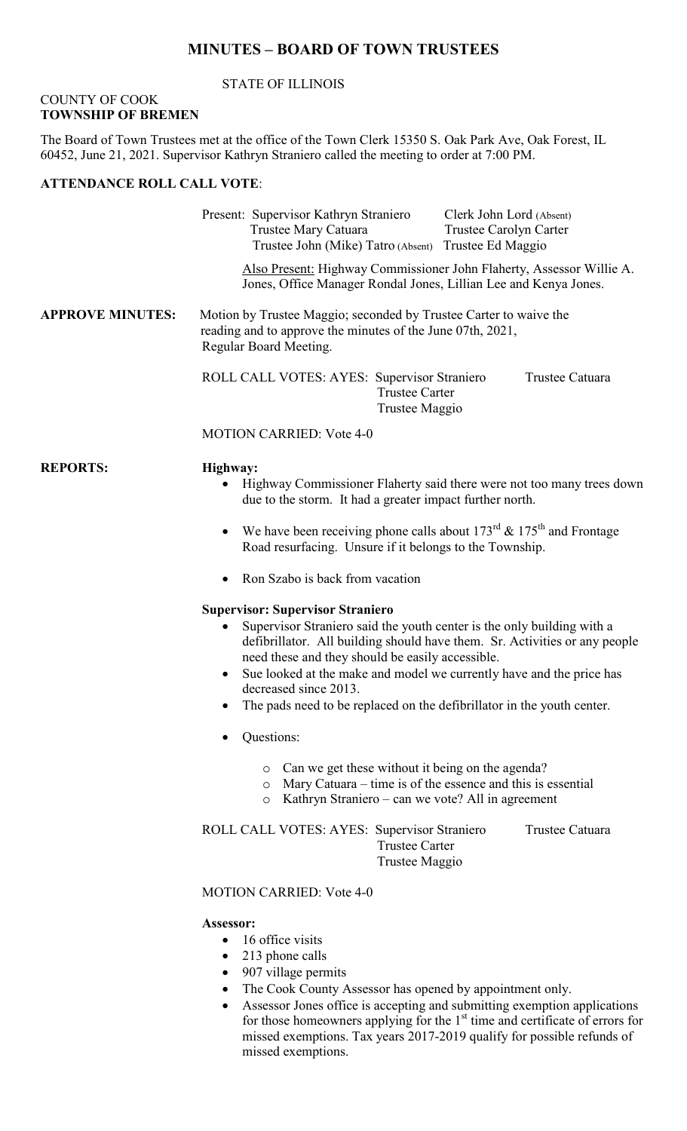# **MINUTES – BOARD OF TOWN TRUSTEES**

#### STATE OF ILLINOIS

#### COUNTY OF COOK **TOWNSHIP OF BREMEN**

The Board of Town Trustees met at the office of the Town Clerk 15350 S. Oak Park Ave, Oak Forest, IL 60452, June 21, 2021. Supervisor Kathryn Straniero called the meeting to order at 7:00 PM.

# **ATTENDANCE ROLL CALL VOTE**:

|                         | Present: Supervisor Kathryn Straniero<br>Clerk John Lord (Absent)<br>Trustee Mary Catuara<br>Trustee Carolyn Carter<br>Trustee John (Mike) Tatro (Absent) Trustee Ed Maggio                                                                                                                                                                                                                                                                              |  |
|-------------------------|----------------------------------------------------------------------------------------------------------------------------------------------------------------------------------------------------------------------------------------------------------------------------------------------------------------------------------------------------------------------------------------------------------------------------------------------------------|--|
|                         | Also Present: Highway Commissioner John Flaherty, Assessor Willie A.<br>Jones, Office Manager Rondal Jones, Lillian Lee and Kenya Jones.                                                                                                                                                                                                                                                                                                                 |  |
| <b>APPROVE MINUTES:</b> | Motion by Trustee Maggio; seconded by Trustee Carter to waive the<br>reading and to approve the minutes of the June 07th, 2021,<br>Regular Board Meeting.                                                                                                                                                                                                                                                                                                |  |
|                         | ROLL CALL VOTES: AYES: Supervisor Straniero<br>Trustee Catuara<br><b>Trustee Carter</b><br>Trustee Maggio                                                                                                                                                                                                                                                                                                                                                |  |
|                         | <b>MOTION CARRIED: Vote 4-0</b>                                                                                                                                                                                                                                                                                                                                                                                                                          |  |
| <b>REPORTS:</b>         | Highway:<br>Highway Commissioner Flaherty said there were not too many trees down<br>due to the storm. It had a greater impact further north.                                                                                                                                                                                                                                                                                                            |  |
|                         | We have been receiving phone calls about $173^{\text{rd}}$ & $175^{\text{th}}$ and Frontage<br>$\bullet$<br>Road resurfacing. Unsure if it belongs to the Township.                                                                                                                                                                                                                                                                                      |  |
|                         | Ron Szabo is back from vacation<br>$\bullet$                                                                                                                                                                                                                                                                                                                                                                                                             |  |
|                         | <b>Supervisor: Supervisor Straniero</b><br>Supervisor Straniero said the youth center is the only building with a<br>$\bullet$<br>defibrillator. All building should have them. Sr. Activities or any people<br>need these and they should be easily accessible.<br>Sue looked at the make and model we currently have and the price has<br>$\bullet$<br>decreased since 2013.<br>The pads need to be replaced on the defibrillator in the youth center. |  |
|                         | Questions:                                                                                                                                                                                                                                                                                                                                                                                                                                               |  |
|                         | Can we get these without it being on the agenda?<br>$\circ$<br>Mary Catuara – time is of the essence and this is essential<br>$\circ$<br>Kathryn Straniero – can we vote? All in agreement<br>O                                                                                                                                                                                                                                                          |  |
|                         | ROLL CALL VOTES: AYES: Supervisor Straniero<br>Trustee Catuara<br><b>Trustee Carter</b>                                                                                                                                                                                                                                                                                                                                                                  |  |

Trustee Maggio

# MOTION CARRIED: Vote 4-0

#### **Assessor:**

- 16 office visits
- 213 phone calls
- 907 village permits
- The Cook County Assessor has opened by appointment only.
- Assessor Jones office is accepting and submitting exemption applications for those homeowners applying for the  $1<sup>st</sup>$  time and certificate of errors for missed exemptions. Tax years 2017-2019 qualify for possible refunds of missed exemptions.